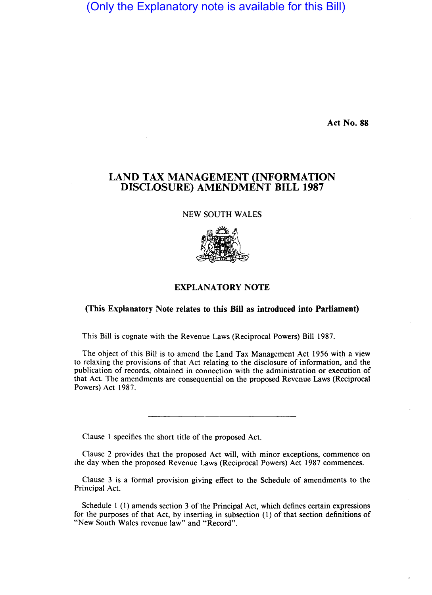(Only the Explanatory note is available for this Bill)

**Act No. 88** 

÷

## **LAND TAX MANAGEMENT (INFORMATION DISCLOSURE) AMENDMENT BILL 1987**

NEW SOUTH WALES



## **EXPLANATORY NOTE**

## **(This Explanatory Note relates to this Bill as introduced into Parliament)**

This Bill is cognate with the Revenue Laws (Reciprocal Powers) Bill 1987.

The object of this Bill is to amend the Land Tax Management Act 1956 with a view to relaxing the provisions of that Act relating to the disclosure of information, and the publication of records, obtained in connection with the administration or execution of that Act. The amendments are consequential on the proposed Revenue Laws (Reciprocal Powers) Act 1987.

Clause I specifies the short title of the proposed Act.

Clause 2 provides that the proposed Act will, with minor exceptions, commence on che day when the proposed Revenue Laws (Reciprocal Powers) Act 1987 commences.

Clause 3 is a formal provision giving effect to the Schedule of amendments to the Principal Act.

Schedule I (I) amends section 3 of the Principal Act, which defines certain expressions for the purposes of that Act, by inserting in subsection (I) of that section definitions of "New South Wales revenue law" and "Record".